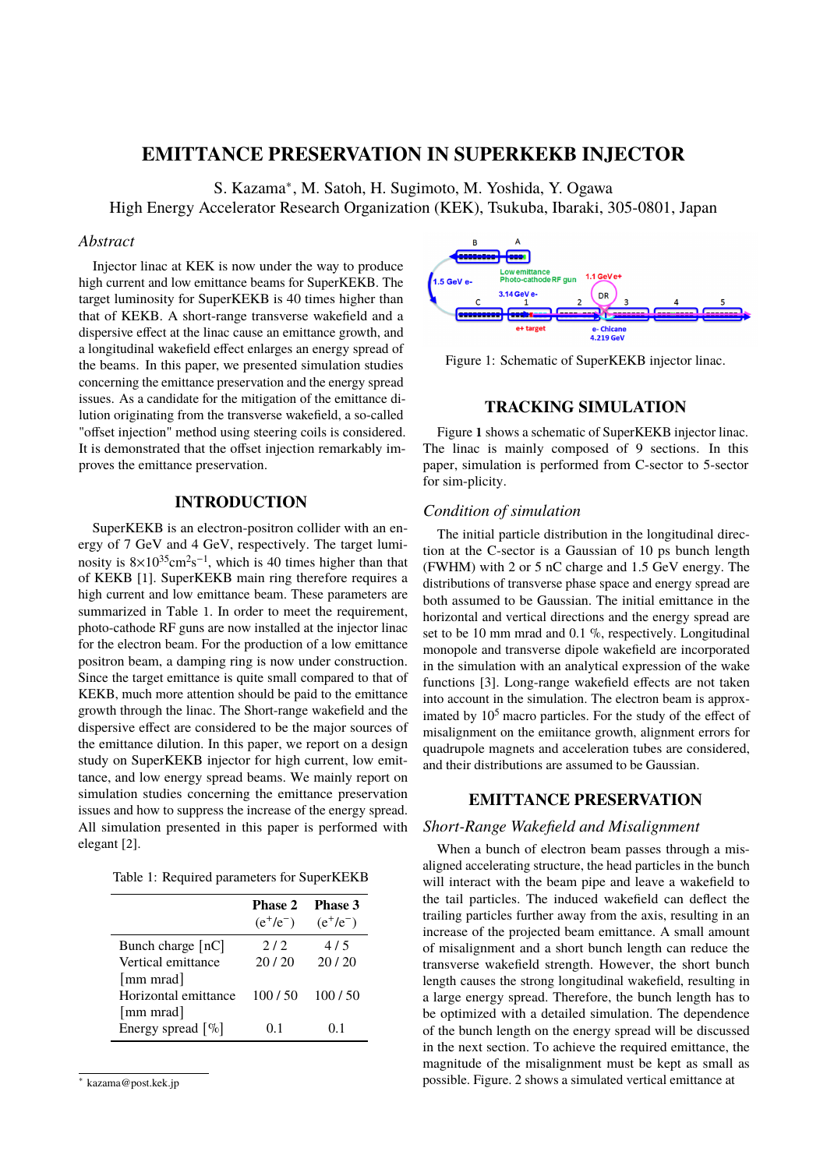# **EMITTANCE PRESERVATION IN SUPERKEKB INJECTOR**

S. Kazama<sup>∗</sup> , M. Satoh, H. Sugimoto, M. Yoshida, Y. Ogawa

High Energy Accelerator Research Organization (KEK), Tsukuba, Ibaraki, 305-0801, Japan

#### *Abstract*

Injector linac at KEK is now under the way to produce high current and low emittance beams for SuperKEKB. The target luminosity for SuperKEKB is 40 times higher than that of KEKB. A short-range transverse wakefield and a dispersive effect at the linac cause an emittance growth, and a longitudinal wakefield effect enlarges an energy spread of the beams. In this paper, we presented simulation studies concerning the emittance preservation and the energy spread issues. As a candidate for the mitigation of the emittance dilution originating from the transverse wakefield, a so-called "offset injection" method using steering coils is considered. It is demonstrated that the offset injection remarkably improves the emittance preservation.

## **INTRODUCTION**

SuperKEKB is an electron-positron collider with an energy of 7 GeV and 4 GeV, respectively. The target luminosity is  $8 \times 10^{35}$ cm<sup>2</sup>s<sup>-1</sup>, which is 40 times higher than that of KEKB [1]. SuperKEKB main ring therefore requires a high current and low emittance beam. These parameters are summarized in Table 1. In order to meet the requirement, photo-cathode RF guns are now installed at the injector linac for the electron beam. For the production of a low emittance positron beam, a damping ring is now under construction. Since the target emittance is quite small compared to that of KEKB, much more attention should be paid to the emittance growth through the linac. The Short-range wakefield and the dispersive effect are considered to be the major sources of the emittance dilution. In this paper, we report on a design study on SuperKEKB injector for high current, low emittance, and low energy spread beams. We mainly report on simulation studies concerning the emittance preservation issues and how to suppress the increase of the energy spread. All simulation presented in this paper is performed with elegant [2].

Table 1: Required parameters for SuperKEKB

|                                   | <b>Phase 2</b><br>$(e^{+}/e^{-})$ | Phase 3<br>$(e^{+}/e^{-})$ |
|-----------------------------------|-----------------------------------|----------------------------|
| Bunch charge $[nC]$               | 2/2                               | 4/5                        |
| Vertical emittance                | 20/20                             | 20/20                      |
| [mm mrad]<br>Horizontal emittance | 100 / 50                          | 100/50                     |
| [mm mrad]<br>Energy spread $[\%]$ | 0 <sup>1</sup>                    | 01                         |



Figure 1: Schematic of SuperKEKB injector linac.

## **TRACKING SIMULATION**

Figure **1** shows a schematic of SuperKEKB injector linac. The linac is mainly composed of 9 sections. In this paper, simulation is performed from C-sector to 5-sector for sim-plicity.

### *Condition of simulation*

The initial particle distribution in the longitudinal direction at the C-sector is a Gaussian of 10 ps bunch length (FWHM) with 2 or 5 nC charge and 1.5 GeV energy. The distributions of transverse phase space and energy spread are both assumed to be Gaussian. The initial emittance in the horizontal and vertical directions and the energy spread are set to be 10 mm mrad and 0.1 %, respectively. Longitudinal monopole and transverse dipole wakefield are incorporated in the simulation with an analytical expression of the wake functions [3]. Long-range wakefield effects are not taken into account in the simulation. The electron beam is approximated by  $10<sup>5</sup>$  macro particles. For the study of the effect of misalignment on the emiitance growth, alignment errors for quadrupole magnets and acceleration tubes are considered, and their distributions are assumed to be Gaussian.

## **EMITTANCE PRESERVATION**

#### *Short-Range Wakefield and Misalignment*

When a bunch of electron beam passes through a misaligned accelerating structure, the head particles in the bunch will interact with the beam pipe and leave a wakefield to the tail particles. The induced wakefield can deflect the trailing particles further away from the axis, resulting in an increase of the projected beam emittance. A small amount of misalignment and a short bunch length can reduce the transverse wakefield strength. However, the short bunch length causes the strong longitudinal wakefield, resulting in a large energy spread. Therefore, the bunch length has to be optimized with a detailed simulation. The dependence of the bunch length on the energy spread will be discussed in the next section. To achieve the required emittance, the magnitude of the misalignment must be kept as small as possible. Figure. 2 shows a simulated vertical emittance at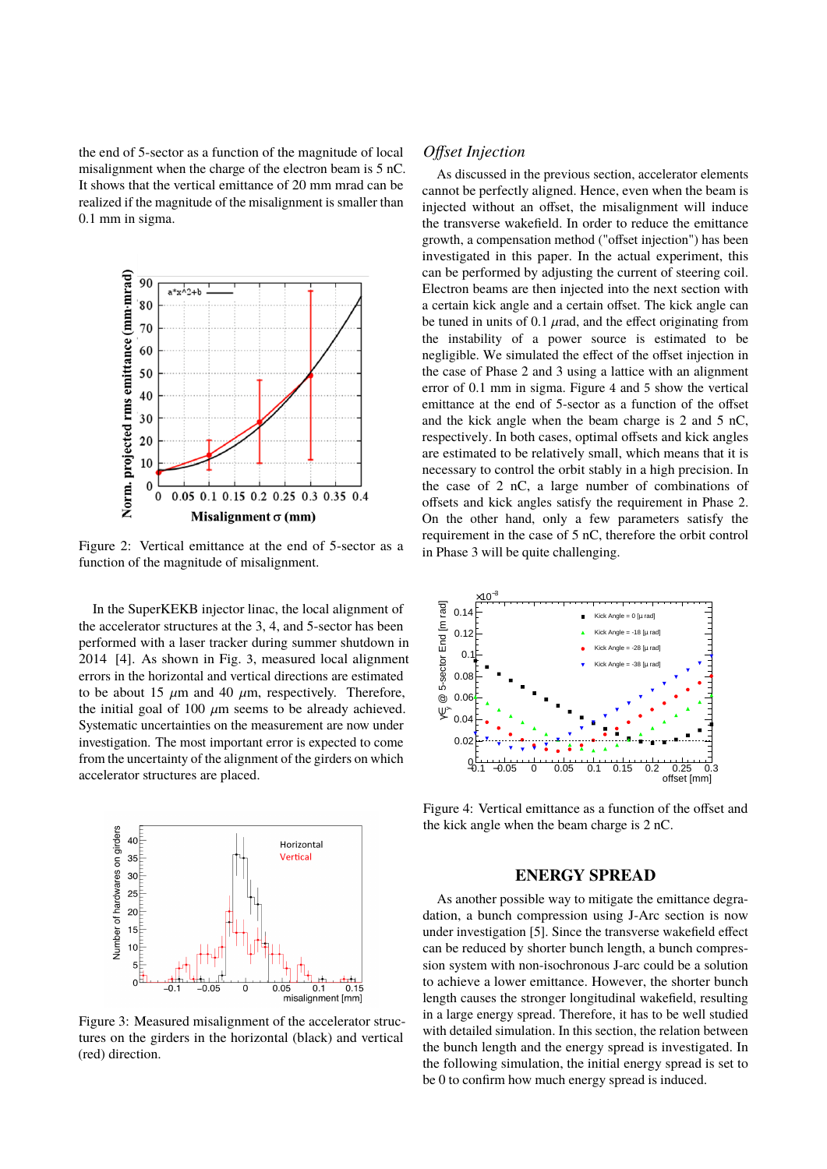the end of 5-sector as a function of the magnitude of local misalignment when the charge of the electron beam is 5 nC. It shows that the vertical emittance of 20 mm mrad can be realized if the magnitude of the misalignment is smaller than 0.1 mm in sigma.



Figure 2: Vertical emittance at the end of 5-sector as a function of the magnitude of misalignment.

In the SuperKEKB injector linac, the local alignment of the accelerator structures at the 3, 4, and 5-sector has been performed with a laser tracker during summer shutdown in 2014 [4]. As shown in Fig. 3, measured local alignment errors in the horizontal and vertical directions are estimated to be about 15  $\mu$ m and 40  $\mu$ m, respectively. Therefore, the initial goal of 100  $\mu$ m seems to be already achieved. Systematic uncertainties on the measurement are now under investigation. The most important error is expected to come from the uncertainty of the alignment of the girders on which accelerator structures are placed.



Figure 3: Measured misalignment of the accelerator structures on the girders in the horizontal (black) and vertical (red) direction.

#### *Offset Injection*

As discussed in the previous section, accelerator elements cannot be perfectly aligned. Hence, even when the beam is injected without an offset, the misalignment will induce the transverse wakefield. In order to reduce the emittance growth, a compensation method ("offset injection") has been investigated in this paper. In the actual experiment, this can be performed by adjusting the current of steering coil. Electron beams are then injected into the next section with a certain kick angle and a certain offset. The kick angle can be tuned in units of 0.1  $\mu$ rad, and the effect originating from the instability of a power source is estimated to be negligible. We simulated the effect of the offset injection in the case of Phase 2 and 3 using a lattice with an alignment error of 0.1 mm in sigma. Figure 4 and 5 show the vertical emittance at the end of 5-sector as a function of the offset and the kick angle when the beam charge is 2 and 5 nC, respectively. In both cases, optimal offsets and kick angles are estimated to be relatively small, which means that it is necessary to control the orbit stably in a high precision. In the case of 2 nC, a large number of combinations of offsets and kick angles satisfy the requirement in Phase 2. On the other hand, only a few parameters satisfy the requirement in the case of 5 nC, therefore the orbit control in Phase 3 will be quite challenging.



Figure 4: Vertical emittance as a function of the offset and the kick angle when the beam charge is 2 nC.

### **ENERGY SPREAD**

As another possible way to mitigate the emittance degradation, a bunch compression using J-Arc section is now under investigation [5]. Since the transverse wakefield effect can be reduced by shorter bunch length, a bunch compression system with non-isochronous J-arc could be a solution to achieve a lower emittance. However, the shorter bunch length causes the stronger longitudinal wakefield, resulting in a large energy spread. Therefore, it has to be well studied with detailed simulation. In this section, the relation between the bunch length and the energy spread is investigated. In the following simulation, the initial energy spread is set to be 0 to confirm how much energy spread is induced.